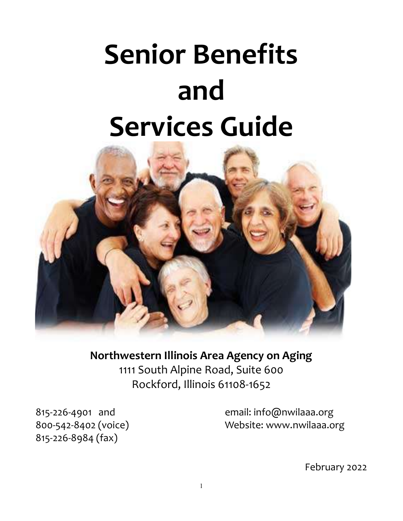# Senior Benefits and Services Guide



Northwestern Illinois Area Agency on Aging 1111 South Alpine Road, Suite 600 Rockford, Illinois 61108-1652

815-226-8984 (fax)

815-226-4901 and email: info@nwilaaa.org 800-542-8402 (voice) Website: www.nwilaaa.org

February 2022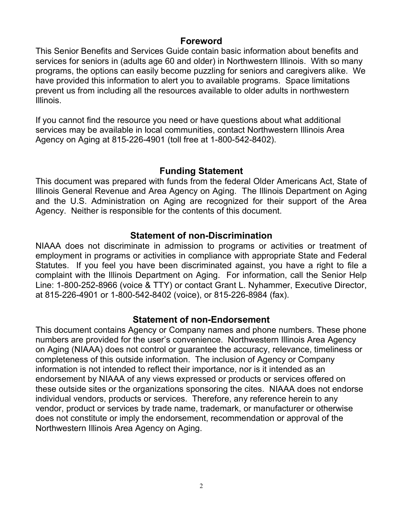# Foreword

This Senior Benefits and Services Guide contain basic information about benefits and services for seniors in (adults age 60 and older) in Northwestern Illinois. With so many programs, the options can easily become puzzling for seniors and caregivers alike. We have provided this information to alert you to available programs. Space limitations prevent us from including all the resources available to older adults in northwestern Illinois.

If you cannot find the resource you need or have questions about what additional services may be available in local communities, contact Northwestern Illinois Area Agency on Aging at 815-226-4901 (toll free at 1-800-542-8402).

#### Funding Statement

This document was prepared with funds from the federal Older Americans Act, State of Illinois General Revenue and Area Agency on Aging. The Illinois Department on Aging and the U.S. Administration on Aging are recognized for their support of the Area Agency. Neither is responsible for the contents of this document.

#### Statement of non-Discrimination

NIAAA does not discriminate in admission to programs or activities or treatment of employment in programs or activities in compliance with appropriate State and Federal Statutes. If you feel you have been discriminated against, you have a right to file a complaint with the Illinois Department on Aging. For information, call the Senior Help Line: 1-800-252-8966 (voice & TTY) or contact Grant L. Nyhammer, Executive Director, at 815-226-4901 or 1-800-542-8402 (voice), or 815-226-8984 (fax).

# Statement of non-Endorsement

This document contains Agency or Company names and phone numbers. These phone numbers are provided for the user's convenience. Northwestern Illinois Area Agency on Aging (NIAAA) does not control or guarantee the accuracy, relevance, timeliness or completeness of this outside information. The inclusion of Agency or Company information is not intended to reflect their importance, nor is it intended as an endorsement by NIAAA of any views expressed or products or services offered on these outside sites or the organizations sponsoring the cites. NIAAA does not endorse individual vendors, products or services. Therefore, any reference herein to any vendor, product or services by trade name, trademark, or manufacturer or otherwise does not constitute or imply the endorsement, recommendation or approval of the Northwestern Illinois Area Agency on Aging.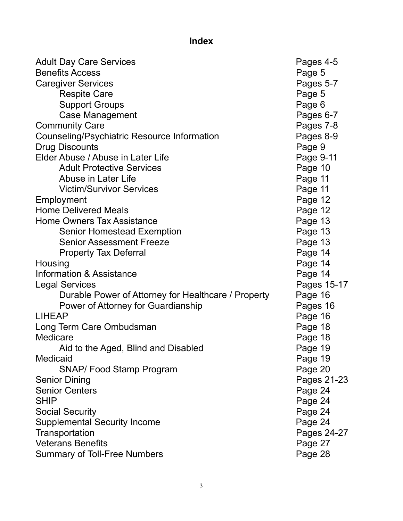# Index

| <b>Adult Day Care Services</b>                      | Pages 4-5   |
|-----------------------------------------------------|-------------|
| <b>Benefits Access</b>                              | Page 5      |
| <b>Caregiver Services</b>                           | Pages 5-7   |
| <b>Respite Care</b>                                 | Page 5      |
| <b>Support Groups</b>                               | Page 6      |
| <b>Case Management</b>                              | Pages 6-7   |
| <b>Community Care</b>                               | Pages 7-8   |
| <b>Counseling/Psychiatric Resource Information</b>  | Pages 8-9   |
| <b>Drug Discounts</b>                               | Page 9      |
| Elder Abuse / Abuse in Later Life                   | Page 9-11   |
| <b>Adult Protective Services</b>                    | Page 10     |
| Abuse in Later Life                                 | Page 11     |
| <b>Victim/Survivor Services</b>                     | Page 11     |
| Employment                                          | Page 12     |
| <b>Home Delivered Meals</b>                         | Page 12     |
| <b>Home Owners Tax Assistance</b>                   | Page 13     |
| <b>Senior Homestead Exemption</b>                   | Page 13     |
| <b>Senior Assessment Freeze</b>                     | Page 13     |
| <b>Property Tax Deferral</b>                        | Page 14     |
| Housing                                             | Page 14     |
| <b>Information &amp; Assistance</b>                 | Page 14     |
| <b>Legal Services</b>                               | Pages 15-17 |
| Durable Power of Attorney for Healthcare / Property | Page 16     |
| Power of Attorney for Guardianship                  | Pages 16    |
| <b>LIHEAP</b>                                       | Page 16     |
| Long Term Care Ombudsman                            | Page 18     |
| Medicare                                            | Page 18     |
| Aid to the Aged, Blind and Disabled                 | Page 19     |
| <b>Medicaid</b>                                     | Page 19     |
| <b>SNAP/ Food Stamp Program</b>                     | Page 20     |
| <b>Senior Dining</b>                                | Pages 21-23 |
| <b>Senior Centers</b>                               | Page 24     |
| <b>SHIP</b>                                         | Page 24     |
| <b>Social Security</b>                              | Page 24     |
| <b>Supplemental Security Income</b>                 | Page 24     |
| Transportation                                      | Pages 24-27 |
| <b>Veterans Benefits</b>                            | Page 27     |
| <b>Summary of Toll-Free Numbers</b>                 | Page 28     |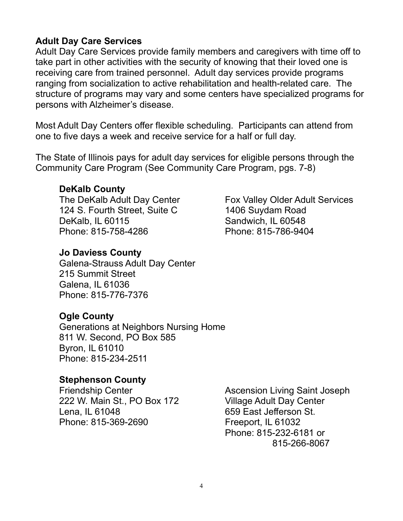# Adult Day Care Services

Adult Day Care Services provide family members and caregivers with time off to take part in other activities with the security of knowing that their loved one is receiving care from trained personnel. Adult day services provide programs ranging from socialization to active rehabilitation and health-related care. The structure of programs may vary and some centers have specialized programs for persons with Alzheimer's disease.

Most Adult Day Centers offer flexible scheduling. Participants can attend from one to five days a week and receive service for a half or full day.

The State of Illinois pays for adult day services for eligible persons through the Community Care Program (See Community Care Program, pgs. 7-8)

#### DeKalb County

The DeKalb Adult Day Center 124 S. Fourth Street, Suite C DeKalb, IL 60115 Phone: 815-758-4286

# Jo Daviess County

Galena-Strauss Adult Day Center 215 Summit Street Galena, IL 61036 Phone: 815-776-7376

# Ogle County

Generations at Neighbors Nursing Home 811 W. Second, PO Box 585 Byron, IL 61010 Phone: 815-234-2511

# Stephenson County

Friendship Center 222 W. Main St., PO Box 172 Lena, IL 61048 Phone: 815-369-2690

Ascension Living Saint Joseph Village Adult Day Center 659 East Jefferson St. Freeport, IL 61032 Phone: 815-232-6181 or 815-266-8067

Fox Valley Older Adult Services 1406 Suydam Road Sandwich, IL 60548 Phone: 815-786-9404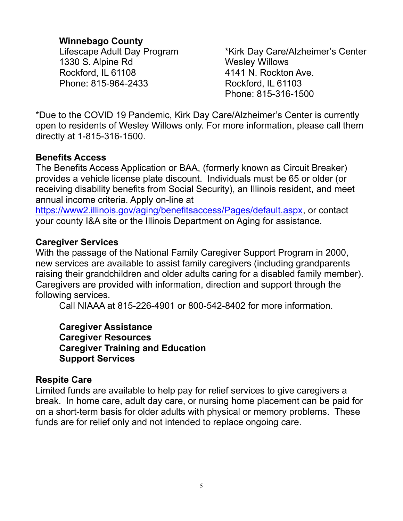# Winnebago County

Lifescape Adult Day Program 1330 S. Alpine Rd Rockford, IL 61108 Phone: 815-964-2433

\*Kirk Day Care/Alzheimer's Center Wesley Willows 4141 N. Rockton Ave. Rockford, IL 61103 Phone: 815-316-1500

\*Due to the COVID 19 Pandemic, Kirk Day Care/Alzheimer's Center is currently open to residents of Wesley Willows only. For more information, please call them directly at 1-815-316-1500.

# Benefits Access

The Benefits Access Application or BAA, (formerly known as Circuit Breaker) provides a vehicle license plate discount. Individuals must be 65 or older (or receiving disability benefits from Social Security), an Illinois resident, and meet annual income criteria. Apply on-line at

https://www2.illinois.gov/aging/benefitsaccess/Pages/default.aspx, or contact your county I&A site or the Illinois Department on Aging for assistance.

# Caregiver Services

With the passage of the National Family Caregiver Support Program in 2000, new services are available to assist family caregivers (including grandparents raising their grandchildren and older adults caring for a disabled family member). Caregivers are provided with information, direction and support through the following services.

Call NIAAA at 815-226-4901 or 800-542-8402 for more information.

Caregiver Assistance Caregiver Resources Caregiver Training and Education Support Services

# Respite Care

Limited funds are available to help pay for relief services to give caregivers a break. In home care, adult day care, or nursing home placement can be paid for on a short-term basis for older adults with physical or memory problems. These funds are for relief only and not intended to replace ongoing care.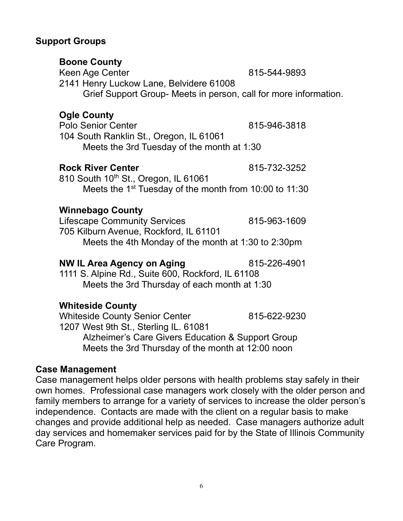# Support Groups

6

Keen Age Center 1989 15-544-9893 2141 Henry Luckow Lane, Belvidere 61008 Grief Support Group- Meets in person, call for more information.

# Ogle County

Boone County

Polo Senior Center **815-946-3818** 104 South Ranklin St., Oregon, IL 61061 Meets the 3rd Tuesday of the month at 1:30

# Rock River Center 815-732-3252

810 South 10<sup>th</sup> St., Oregon, IL 61061 Meets the 1<sup>st</sup> Tuesday of the month from 10:00 to 11:30

# Winnebago County

Lifescape Community Services 615-963-1609 705 Kilburn Avenue, Rockford, IL 61101 Meets the 4th Monday of the month at 1:30 to 2:30pm

# NW IL Area Agency on Aging 815-226-4901

1111 S. Alpine Rd., Suite 600, Rockford, IL 61108 Meets the 3rd Thursday of each month at 1:30

# Whiteside County

Whiteside County Senior Center 815-622-9230 1207 West 9th St., Sterling IL. 61081 Alzheimer's Care Givers Education & Support Group Meets the 3rd Thursday of the month at 12:00 noon

# Case Management

Case management helps older persons with health problems stay safely in their own homes. Professional case managers work closely with the older person and family members to arrange for a variety of services to increase the older person's independence. Contacts are made with the client on a regular basis to make changes and provide additional help as needed. Case managers authorize adult day services and homemaker services paid for by the State of Illinois Community Care Program.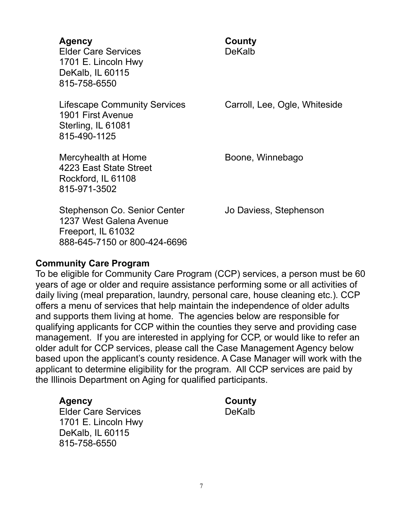# Agency **County**

Elder Care Services **DeKalb** 1701 E. Lincoln Hwy DeKalb, IL 60115 815-758-6550

Lifescape Community Services Carroll, Lee, Ogle, Whiteside 1901 First Avenue Sterling, IL 61081 815-490-1125

Mercyhealth at Home Boone, Winnebago 4223 East State Street Rockford, IL 61108 815-971-3502

Stephenson Co. Senior Center **Jo Daviess, Stephenson** 1237 West Galena Avenue Freeport, IL 61032 888-645-7150 or 800-424-6696

# Community Care Program

To be eligible for Community Care Program (CCP) services, a person must be 60 years of age or older and require assistance performing some or all activities of daily living (meal preparation, laundry, personal care, house cleaning etc.). CCP offers a menu of services that help maintain the independence of older adults and supports them living at home. The agencies below are responsible for qualifying applicants for CCP within the counties they serve and providing case management. If you are interested in applying for CCP, or would like to refer an older adult for CCP services, please call the Case Management Agency below based upon the applicant's county residence. A Case Manager will work with the applicant to determine eligibility for the program. All CCP services are paid by the Illinois Department on Aging for qualified participants.

# Agency **County**

Elder Care Services **DeKalb** 1701 E. Lincoln Hwy DeKalb, IL 60115 815-758-6550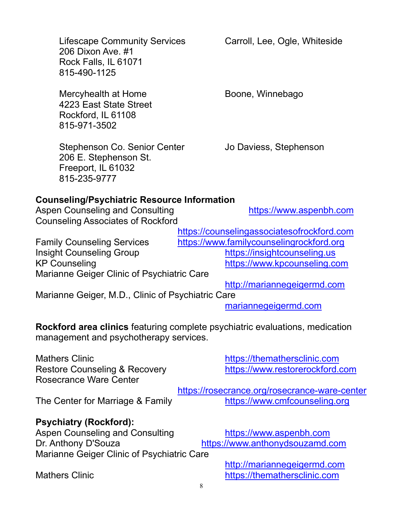206 E. Stephenson St. Freeport, IL 61032 815-235-9777 Aspen Counseling and Consulting **https://www.aspenbh.com** Family Counseling Services https://www.familycounselingrockford.org Insight Counseling Group https://insightcounseling.us KP Counseling **https://www.kpcounseling.com** Marianne Geiger Clinic of Psychiatric Care mariannegeigermd.com Mathers Clinic **Mathers Clinic** https://themathersclinic.com Restore Counseling & Recovery https://www.restorerockford.com The Center for Marriage & Family https://www.cmfcounseling.org Psychiatry (Rockford): Aspen Counseling and Consulting https://www.aspenbh.com Dr. Anthony D'Souza https://www.anthonydsouzamd.com Marianne Geiger Clinic of Psychiatric Care

# Counseling/Psychiatric Resource Information

Counseling Associates of Rockford

https://counselingassociatesofrockford.com

http://mariannegeigermd.com

Marianne Geiger, M.D., Clinic of Psychiatric Care

Rockford area clinics featuring complete psychiatric evaluations, medication management and psychotherapy services.

Rosecrance Ware Center

https://rosecrance.org/rosecrance-ware-center

http://mariannegeigermd.com Mathers Clinic **Mathers Clinic** https://themathersclinic.com

Stephenson Co. Senior Center Jo Daviess, Stephenson

Lifescape Community Services Carroll, Lee, Ogle, Whiteside 206 Dixon Ave. #1 Rock Falls, IL 61071 815-490-1125

Mercyhealth at Home Boone, Winnebago 4223 East State Street Rockford, IL 61108 815-971-3502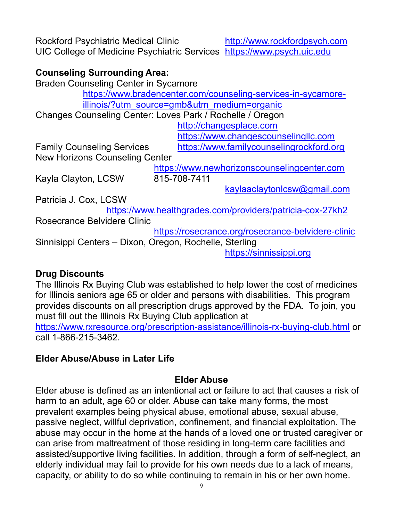Rockford Psychiatric Medical Clinic http://www.rockfordpsych.com UIC College of Medicine Psychiatric Services https://www.psych.uic.edu

# Counseling Surrounding Area:

Braden Counseling Center in Sycamore https://www.bradencenter.com/counseling-services-in-sycamoreillinois/?utm\_source=gmb&utm\_medium=organic Changes Counseling Center: Loves Park / Rochelle / Oregon http://changesplace.com https://www.changescounselingllc.com Family Counseling Services https://www.familycounselingrockford.org New Horizons Counseling Center https://www.newhorizonscounselingcenter.com Kayla Clayton, LCSW 815-708-7411 kaylaaclaytonlcsw@gmail.com Patricia J. Cox, LCSW https://www.healthgrades.com/providers/patricia-cox-27kh2 Rosecrance Belvidere Clinic https://rosecrance.org/rosecrance-belvidere-clinic Sinnisippi Centers – Dixon, Oregon, Rochelle, Sterling https://sinnissippi.org

# Drug Discounts

The Illinois Rx Buying Club was established to help lower the cost of medicines for Illinois seniors age 65 or older and persons with disabilities. This program provides discounts on all prescription drugs approved by the FDA. To join, you must fill out the Illinois Rx Buying Club application at https://www.rxresource.org/prescription-assistance/illinois-rx-buying-club.html or call 1-866-215-3462.

# Elder Abuse/Abuse in Later Life

# Elder Abuse

Elder abuse is defined as an intentional act or failure to act that causes a risk of harm to an adult, age 60 or older. Abuse can take many forms, the most prevalent examples being physical abuse, emotional abuse, sexual abuse, passive neglect, willful deprivation, confinement, and financial exploitation. The abuse may occur in the home at the hands of a loved one or trusted caregiver or can arise from maltreatment of those residing in long-term care facilities and assisted/supportive living facilities. In addition, through a form of self-neglect, an elderly individual may fail to provide for his own needs due to a lack of means, capacity, or ability to do so while continuing to remain in his or her own home.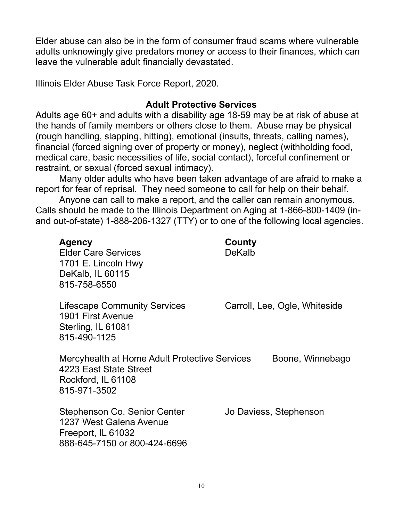Elder abuse can also be in the form of consumer fraud scams where vulnerable adults unknowingly give predators money or access to their finances, which can leave the vulnerable adult financially devastated.

Illinois Elder Abuse Task Force Report, 2020.

# Adult Protective Services

Adults age 60+ and adults with a disability age 18-59 may be at risk of abuse at the hands of family members or others close to them. Abuse may be physical (rough handling, slapping, hitting), emotional (insults, threats, calling names), financial (forced signing over of property or money), neglect (withholding food, medical care, basic necessities of life, social contact), forceful confinement or restraint, or sexual (forced sexual intimacy).

Many older adults who have been taken advantage of are afraid to make a report for fear of reprisal. They need someone to call for help on their behalf.

Anyone can call to make a report, and the caller can remain anonymous. Calls should be made to the Illinois Department on Aging at 1-866-800-1409 (inand out-of-state) 1-888-206-1327 (TTY) or to one of the following local agencies.

| <b>Agency</b><br><b>Elder Care Services</b><br>1701 E. Lincoln Hwy<br>DeKalb, IL 60115<br>815-758-6550               | County<br>DeKalb              |
|----------------------------------------------------------------------------------------------------------------------|-------------------------------|
| <b>Lifescape Community Services</b><br>1901 First Avenue<br>Sterling, IL 61081<br>815-490-1125                       | Carroll, Lee, Ogle, Whiteside |
| Mercyhealth at Home Adult Protective Services<br>4223 East State Street<br>Rockford, IL 61108<br>815-971-3502        | Boone, Winnebago              |
| <b>Stephenson Co. Senior Center</b><br>1237 West Galena Avenue<br>Freeport, IL 61032<br>888-645-7150 or 800-424-6696 | Jo Daviess, Stephenson        |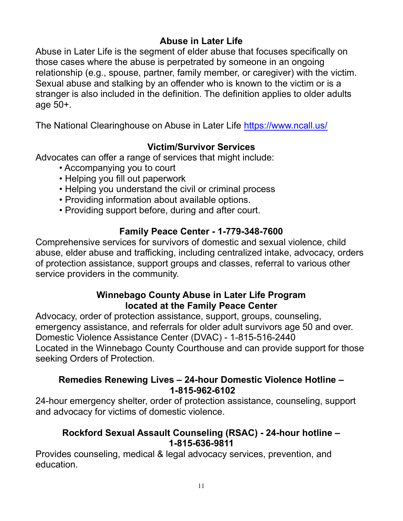# Abuse in Later Life

Abuse in Later Life is the segment of elder abuse that focuses specifically on those cases where the abuse is perpetrated by someone in an ongoing relationship (e.g., spouse, partner, family member, or caregiver) with the victim. Sexual abuse and stalking by an offender who is known to the victim or is a stranger is also included in the definition. The definition applies to older adults age 50+.

The National Clearinghouse on Abuse in Later Life https://www.ncall.us/

# Victim/Survivor Services

Advocates can offer a range of services that might include:

- Accompanying you to court
- Helping you fill out paperwork
- Helping you understand the civil or criminal process
- Providing information about available options.
- Providing support before, during and after court.

# Family Peace Center - 1-779-348-7600

Comprehensive services for survivors of domestic and sexual violence, child abuse, elder abuse and trafficking, including centralized intake, advocacy, orders of protection assistance, support groups and classes, referral to various other service providers in the community.

# Winnebago County Abuse in Later Life Program located at the Family Peace Center

Advocacy, order of protection assistance, support, groups, counseling, emergency assistance, and referrals for older adult survivors age 50 and over. Domestic Violence Assistance Center (DVAC) - 1-815-516-2440 Located in the Winnebago County Courthouse and can provide support for those seeking Orders of Protection.

# Remedies Renewing Lives – 24-hour Domestic Violence Hotline – 1-815-962-6102

24-hour emergency shelter, order of protection assistance, counseling, support and advocacy for victims of domestic violence.

# Rockford Sexual Assault Counseling (RSAC) - 24-hour hotline – 1-815-636-9811

Provides counseling, medical & legal advocacy services, prevention, and education.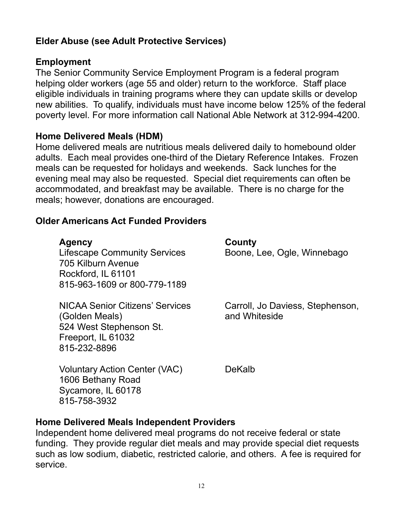# Elder Abuse (see Adult Protective Services)

# Employment

The Senior Community Service Employment Program is a federal program helping older workers (age 55 and older) return to the workforce. Staff place eligible individuals in training programs where they can update skills or develop new abilities. To qualify, individuals must have income below 125% of the federal poverty level. For more information call National Able Network at 312-994-4200.

# Home Delivered Meals (HDM)

Home delivered meals are nutritious meals delivered daily to homebound older adults. Each meal provides one-third of the Dietary Reference Intakes. Frozen meals can be requested for holidays and weekends. Sack lunches for the evening meal may also be requested. Special diet requirements can often be accommodated, and breakfast may be available. There is no charge for the meals; however, donations are encouraged.

# Older Americans Act Funded Providers

# Agency **County**

Lifescape Community Services Boone, Lee, Ogle, Winnebago 705 Kilburn Avenue Rockford, IL 61101 815-963-1609 or 800-779-1189

NICAA Senior Citizens' Services Carroll, Jo Daviess, Stephenson, (Golden Meals) and Whiteside 524 West Stephenson St. Freeport, IL 61032 815-232-8896

Voluntary Action Center (VAC) DeKalb 1606 Bethany Road Sycamore, IL 60178 815-758-3932

# Home Delivered Meals Independent Providers

Independent home delivered meal programs do not receive federal or state funding. They provide regular diet meals and may provide special diet requests such as low sodium, diabetic, restricted calorie, and others. A fee is required for service.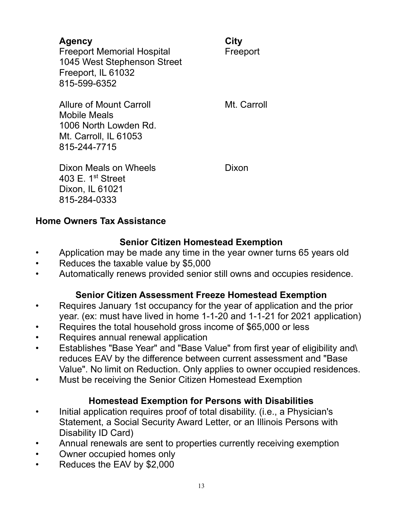# Agency City

Freeport Memorial Hospital Freeport 1045 West Stephenson Street Freeport, IL 61032 815-599-6352

Allure of Mount Carroll **Mullet Carroll** Mt. Carroll Mobile Meals 1006 North Lowden Rd. Mt. Carroll, IL 61053 815-244-7715

Dixon Meals on Wheels **Dixon** 403 E.  $1<sup>st</sup>$  Street Dixon, IL 61021 815-284-0333

# Home Owners Tax Assistance

# Senior Citizen Homestead Exemption

- Application may be made any time in the year owner turns 65 years old
- Reduces the taxable value by \$5,000
- Automatically renews provided senior still owns and occupies residence.

# Senior Citizen Assessment Freeze Homestead Exemption

- Requires January 1st occupancy for the year of application and the prior year. (ex: must have lived in home 1-1-20 and 1-1-21 for 2021 application)
- Requires the total household gross income of \$65,000 or less
- Requires annual renewal application
- Establishes "Base Year" and "Base Value" from first year of eligibility and\ reduces EAV by the difference between current assessment and "Base Value". No limit on Reduction. Only applies to owner occupied residences.
- Must be receiving the Senior Citizen Homestead Exemption

# Homestead Exemption for Persons with Disabilities

- Initial application requires proof of total disability. (i.e., a Physician's Statement, a Social Security Award Letter, or an Illinois Persons with Disability ID Card)
- Annual renewals are sent to properties currently receiving exemption
- Owner occupied homes only
- Reduces the EAV by \$2,000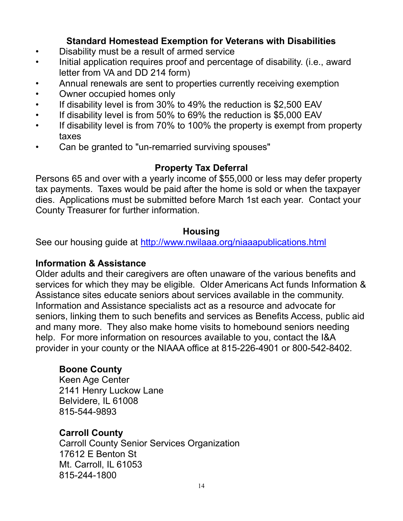# Standard Homestead Exemption for Veterans with Disabilities

- Disability must be a result of armed service
- Initial application requires proof and percentage of disability. (i.e., award letter from VA and DD 214 form)
- Annual renewals are sent to properties currently receiving exemption
- Owner occupied homes only
- If disability level is from 30% to 49% the reduction is \$2,500 EAV
- If disability level is from 50% to 69% the reduction is \$5,000 EAV
- If disability level is from 70% to 100% the property is exempt from property taxes
- Can be granted to "un-remarried surviving spouses"

# Property Tax Deferral

Persons 65 and over with a yearly income of \$55,000 or less may defer property tax payments. Taxes would be paid after the home is sold or when the taxpayer dies. Applications must be submitted before March 1st each year. Contact your County Treasurer for further information.

# **Housing**

See our housing guide at http://www.nwilaaa.org/niaaapublications.html

# Information & Assistance

Older adults and their caregivers are often unaware of the various benefits and services for which they may be eligible. Older Americans Act funds Information & Assistance sites educate seniors about services available in the community. Information and Assistance specialists act as a resource and advocate for seniors, linking them to such benefits and services as Benefits Access, public aid and many more. They also make home visits to homebound seniors needing help. For more information on resources available to you, contact the I&A provider in your county or the NIAAA office at 815-226-4901 or 800-542-8402.

# Boone County

Keen Age Center 2141 Henry Luckow Lane Belvidere, IL 61008 815-544-9893

# Carroll County

Carroll County Senior Services Organization 17612 E Benton St Mt. Carroll, IL 61053 815-244-1800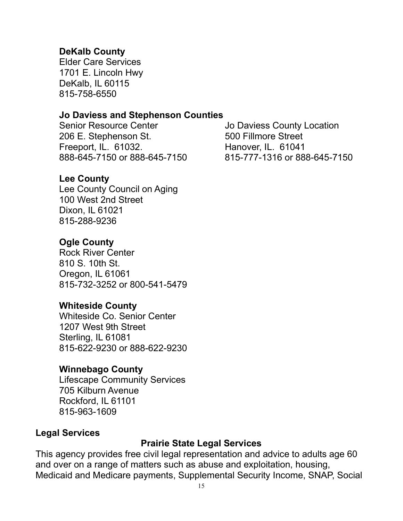# DeKalb County

Elder Care Services 1701 E. Lincoln Hwy DeKalb, IL 60115 815-758-6550

# Jo Daviess and Stephenson Counties

Senior Resource Center **Senior Resource Center** Jo Daviess County Location 206 E. Stephenson St. 600 Fillmore Street Freeport, IL. 61032. Hanover, IL. 61041

#### Lee County

Lee County Council on Aging 100 West 2nd Street Dixon, IL 61021 815-288-9236

# Ogle County

Rock River Center 810 S. 10th St. Oregon, IL 61061 815-732-3252 or 800-541-5479

#### Whiteside County

Whiteside Co. Senior Center 1207 West 9th Street Sterling, IL 61081 815-622-9230 or 888-622-9230

#### Winnebago County

Lifescape Community Services 705 Kilburn Avenue Rockford, IL 61101 815-963-1609

#### Legal Services

#### Prairie State Legal Services

This agency provides free civil legal representation and advice to adults age 60 and over on a range of matters such as abuse and exploitation, housing, Medicaid and Medicare payments, Supplemental Security Income, SNAP, Social

888-645-7150 or 888-645-7150 815-777-1316 or 888-645-7150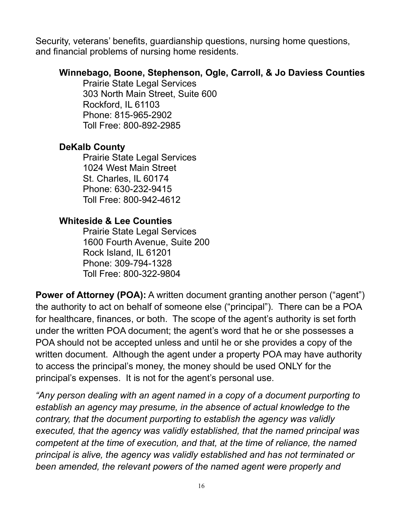Security, veterans' benefits, guardianship questions, nursing home questions, and financial problems of nursing home residents.

# Winnebago, Boone, Stephenson, Ogle, Carroll, & Jo Daviess Counties

Prairie State Legal Services 303 North Main Street, Suite 600 Rockford, IL 61103 Phone: 815-965-2902 Toll Free: 800-892-2985

# DeKalb County

Prairie State Legal Services 1024 West Main Street St. Charles, IL 60174 Phone: 630-232-9415 Toll Free: 800-942-4612

# Whiteside & Lee Counties

Prairie State Legal Services 1600 Fourth Avenue, Suite 200 Rock Island, IL 61201 Phone: 309-794-1328 Toll Free: 800-322-9804

Power of Attorney (POA): A written document granting another person ("agent") the authority to act on behalf of someone else ("principal"). There can be a POA for healthcare, finances, or both. The scope of the agent's authority is set forth under the written POA document; the agent's word that he or she possesses a POA should not be accepted unless and until he or she provides a copy of the written document. Although the agent under a property POA may have authority to access the principal's money, the money should be used ONLY for the principal's expenses. It is not for the agent's personal use.

"Any person dealing with an agent named in a copy of a document purporting to establish an agency may presume, in the absence of actual knowledge to the contrary, that the document purporting to establish the agency was validly executed, that the agency was validly established, that the named principal was competent at the time of execution, and that, at the time of reliance, the named principal is alive, the agency was validly established and has not terminated or been amended, the relevant powers of the named agent were properly and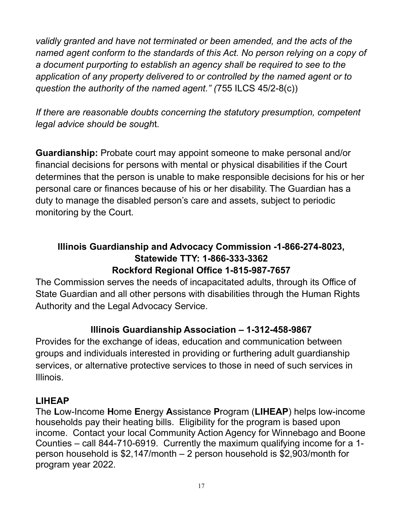validly granted and have not terminated or been amended, and the acts of the named agent conform to the standards of this Act. No person relying on a copy of a document purporting to establish an agency shall be required to see to the application of any property delivered to or controlled by the named agent or to question the authority of the named agent." (755 ILCS 45/2-8(c))

If there are reasonable doubts concerning the statutory presumption, competent legal advice should be sought.

Guardianship: Probate court may appoint someone to make personal and/or financial decisions for persons with mental or physical disabilities if the Court determines that the person is unable to make responsible decisions for his or her personal care or finances because of his or her disability. The Guardian has a duty to manage the disabled person's care and assets, subject to periodic monitoring by the Court.

# Illinois Guardianship and Advocacy Commission -1-866-274-8023, Statewide TTY: 1-866-333-3362 Rockford Regional Office 1-815-987-7657

The Commission serves the needs of incapacitated adults, through its Office of State Guardian and all other persons with disabilities through the Human Rights Authority and the Legal Advocacy Service.

# Illinois Guardianship Association – 1-312-458-9867

Provides for the exchange of ideas, education and communication between groups and individuals interested in providing or furthering adult guardianship services, or alternative protective services to those in need of such services in Illinois.

# LIHEAP

The Low-Income Home Energy Assistance Program (LIHEAP) helps low-income households pay their heating bills. Eligibility for the program is based upon income. Contact your local Community Action Agency for Winnebago and Boone Counties – call 844-710-6919. Currently the maximum qualifying income for a 1 person household is \$2,147/month – 2 person household is \$2,903/month for program year 2022.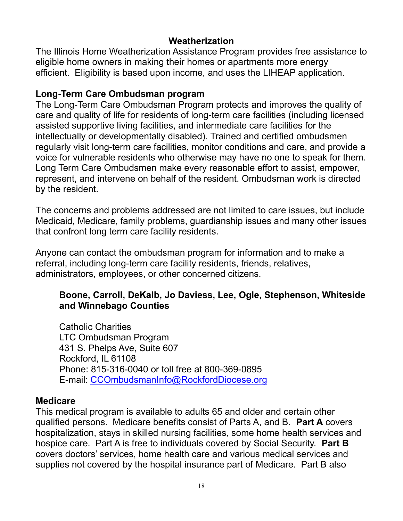# Weatherization

The Illinois Home Weatherization Assistance Program provides free assistance to eligible home owners in making their homes or apartments more energy efficient. Eligibility is based upon income, and uses the LIHEAP application.

# Long-Term Care Ombudsman program

The Long-Term Care Ombudsman Program protects and improves the quality of care and quality of life for residents of long-term care facilities (including licensed assisted supportive living facilities, and intermediate care facilities for the intellectually or developmentally disabled). Trained and certified ombudsmen regularly visit long-term care facilities, monitor conditions and care, and provide a voice for vulnerable residents who otherwise may have no one to speak for them. Long Term Care Ombudsmen make every reasonable effort to assist, empower, represent, and intervene on behalf of the resident. Ombudsman work is directed by the resident.

The concerns and problems addressed are not limited to care issues, but include Medicaid, Medicare, family problems, guardianship issues and many other issues that confront long term care facility residents.

Anyone can contact the ombudsman program for information and to make a referral, including long-term care facility residents, friends, relatives, administrators, employees, or other concerned citizens.

# Boone, Carroll, DeKalb, Jo Daviess, Lee, Ogle, Stephenson, Whiteside and Winnebago Counties

Catholic Charities LTC Ombudsman Program 431 S. Phelps Ave, Suite 607 Rockford, IL 61108 Phone: 815-316-0040 or toll free at 800-369-0895 E-mail: CCOmbudsmanInfo@RockfordDiocese.org

# Medicare

This medical program is available to adults 65 and older and certain other qualified persons. Medicare benefits consist of Parts A, and B. Part A covers hospitalization, stays in skilled nursing facilities, some home health services and hospice care. Part A is free to individuals covered by Social Security. Part B covers doctors' services, home health care and various medical services and supplies not covered by the hospital insurance part of Medicare. Part B also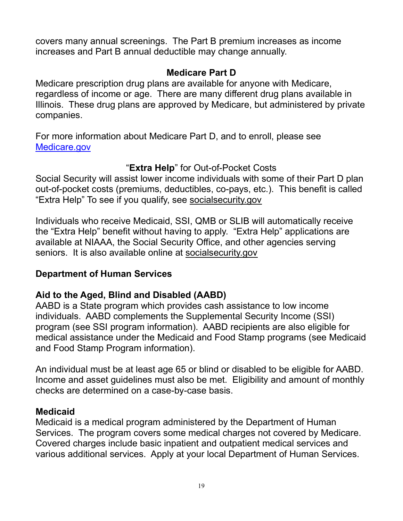covers many annual screenings. The Part B premium increases as income increases and Part B annual deductible may change annually.

# Medicare Part D

Medicare prescription drug plans are available for anyone with Medicare, regardless of income or age. There are many different drug plans available in Illinois. These drug plans are approved by Medicare, but administered by private companies.

For more information about Medicare Part D, and to enroll, please see Medicare.gov

# "Extra Help" for Out-of-Pocket Costs

Social Security will assist lower income individuals with some of their Part D plan out-of-pocket costs (premiums, deductibles, co-pays, etc.). This benefit is called "Extra Help" To see if you qualify, see socialsecurity.gov

Individuals who receive Medicaid, SSI, QMB or SLIB will automatically receive the "Extra Help" benefit without having to apply. "Extra Help" applications are available at NIAAA, the Social Security Office, and other agencies serving seniors. It is also available online at socialsecurity.gov

# Department of Human Services

# Aid to the Aged, Blind and Disabled (AABD)

AABD is a State program which provides cash assistance to low income individuals. AABD complements the Supplemental Security Income (SSI) program (see SSI program information). AABD recipients are also eligible for medical assistance under the Medicaid and Food Stamp programs (see Medicaid and Food Stamp Program information).

An individual must be at least age 65 or blind or disabled to be eligible for AABD. Income and asset guidelines must also be met. Eligibility and amount of monthly checks are determined on a case-by-case basis.

# **Medicaid**

Medicaid is a medical program administered by the Department of Human Services. The program covers some medical charges not covered by Medicare. Covered charges include basic inpatient and outpatient medical services and various additional services. Apply at your local Department of Human Services.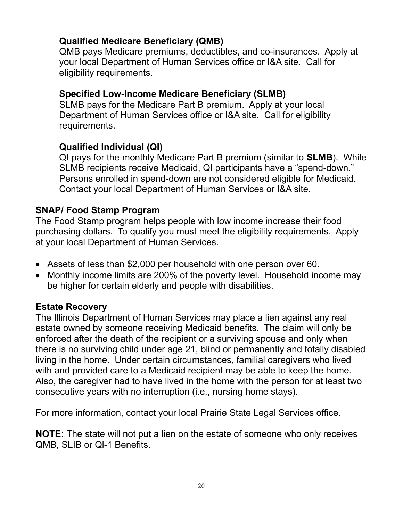# Qualified Medicare Beneficiary (QMB)

QMB pays Medicare premiums, deductibles, and co-insurances. Apply at your local Department of Human Services office or I&A site. Call for eligibility requirements.

# Specified Low-Income Medicare Beneficiary (SLMB)

SLMB pays for the Medicare Part B premium. Apply at your local Department of Human Services office or I&A site. Call for eligibility requirements.

# Qualified Individual (QI)

QI pays for the monthly Medicare Part B premium (similar to SLMB). While SLMB recipients receive Medicaid, QI participants have a "spend-down." Persons enrolled in spend-down are not considered eligible for Medicaid. Contact your local Department of Human Services or I&A site.

# SNAP/ Food Stamp Program

The Food Stamp program helps people with low income increase their food purchasing dollars. To qualify you must meet the eligibility requirements. Apply at your local Department of Human Services.

- Assets of less than \$2,000 per household with one person over 60.
- Monthly income limits are 200% of the poverty level. Household income may be higher for certain elderly and people with disabilities.

# Estate Recovery

The Illinois Department of Human Services may place a lien against any real estate owned by someone receiving Medicaid benefits. The claim will only be enforced after the death of the recipient or a surviving spouse and only when there is no surviving child under age 21, blind or permanently and totally disabled living in the home. Under certain circumstances, familial caregivers who lived with and provided care to a Medicaid recipient may be able to keep the home. Also, the caregiver had to have lived in the home with the person for at least two consecutive years with no interruption (i.e., nursing home stays).

For more information, contact your local Prairie State Legal Services office.

NOTE: The state will not put a lien on the estate of someone who only receives QMB, SLIB or Ql-1 Benefits.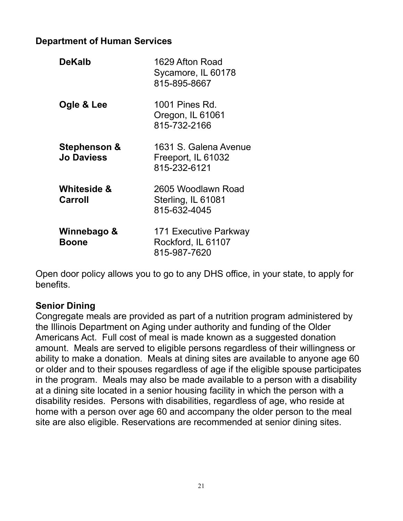# Department of Human Services

| <b>DeKalb</b>                     | 1629 Afton Road<br>Sycamore, IL 60178<br>815-895-8667       |
|-----------------------------------|-------------------------------------------------------------|
| Ogle & Lee                        | 1001 Pines Rd.<br>Oregon, IL 61061<br>815-732-2166          |
| Stephenson &<br><b>Jo Daviess</b> | 1631 S. Galena Avenue<br>Freeport, IL 61032<br>815-232-6121 |
| <b>Whiteside &amp;</b><br>Carroll | 2605 Woodlawn Road<br>Sterling, IL 61081<br>815-632-4045    |
| Winnebago &<br><b>Boone</b>       | 171 Executive Parkway<br>Rockford, IL 61107<br>815-987-7620 |

Open door policy allows you to go to any DHS office, in your state, to apply for benefits.

# Senior Dining

Congregate meals are provided as part of a nutrition program administered by the Illinois Department on Aging under authority and funding of the Older Americans Act. Full cost of meal is made known as a suggested donation amount. Meals are served to eligible persons regardless of their willingness or ability to make a donation. Meals at dining sites are available to anyone age 60 or older and to their spouses regardless of age if the eligible spouse participates in the program. Meals may also be made available to a person with a disability at a dining site located in a senior housing facility in which the person with a disability resides. Persons with disabilities, regardless of age, who reside at home with a person over age 60 and accompany the older person to the meal site are also eligible. Reservations are recommended at senior dining sites.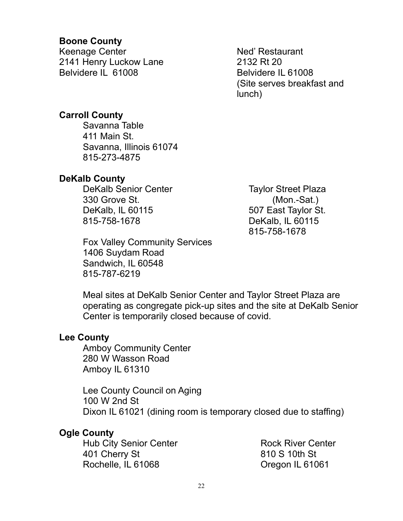# Boone County

Keenage Center 2141 Henry Luckow Lane Belvidere IL 61008

Ned' Restaurant 2132 Rt 20 Belvidere IL 61008 (Site serves breakfast and lunch)

# Carroll County

Savanna Table 411 Main St. Savanna, Illinois 61074 815-273-4875

# DeKalb County

DeKalb Senior Center 330 Grove St. DeKalb, IL 60115 815-758-1678

Fox Valley Community Services 1406 Suydam Road Sandwich, IL 60548 815-787-6219

Taylor Street Plaza (Mon.-Sat.) 507 East Taylor St. DeKalb, IL 60115 815-758-1678

Meal sites at DeKalb Senior Center and Taylor Street Plaza are operating as congregate pick-up sites and the site at DeKalb Senior Center is temporarily closed because of covid.

#### Lee County

Amboy Community Center 280 W Wasson Road Amboy IL 61310

Lee County Council on Aging 100 W 2nd St Dixon IL 61021 (dining room is temporary closed due to staffing)

# Ogle County

Hub City Senior Center 401 Cherry St Rochelle, IL 61068

Rock River Center 810 S 10th St Oregon IL 61061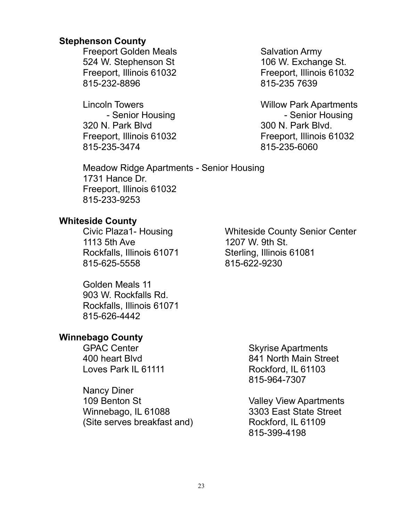#### Stephenson County

Freeport Golden Meals 524 W. Stephenson St Freeport, Illinois 61032 815-232-8896

Lincoln Towers - Senior Housing 320 N. Park Blvd Freeport, Illinois 61032 815-235-3474

Salvation Army 106 W. Exchange St. Freeport, Illinois 61032 815-235 7639

Willow Park Apartments - Senior Housing 300 N. Park Blvd. Freeport, Illinois 61032 815-235-6060

Meadow Ridge Apartments - Senior Housing 1731 Hance Dr. Freeport, Illinois 61032 815-233-9253

# Whiteside County

Civic Plaza1- Housing Whiteside County Senior Center 1113 5th Ave 1207 W. 9th St. Rockfalls, Illinois 61071 Sterling, Illinois 61081 815-625-5558 815-622-9230

Golden Meals 11 903 W. Rockfalls Rd. Rockfalls, Illinois 61071 815-626-4442

# Winnebago County

GPAC Center 400 heart Blvd Loves Park IL 61111

Nancy Diner 109 Benton St Winnebago, IL 61088 (Site serves breakfast and)

Skyrise Apartments 841 North Main Street Rockford, IL 61103 815-964-7307

Valley View Apartments 3303 East State Street Rockford, IL 61109 815-399-4198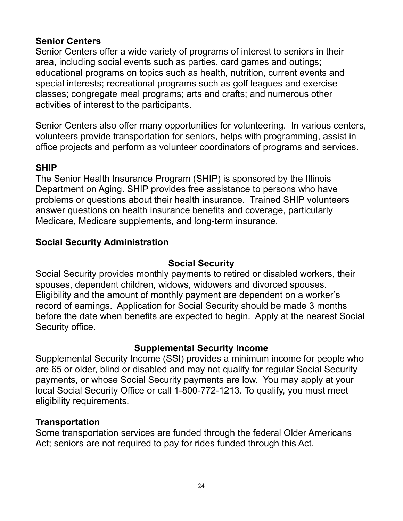# Senior Centers

Senior Centers offer a wide variety of programs of interest to seniors in their area, including social events such as parties, card games and outings; educational programs on topics such as health, nutrition, current events and special interests; recreational programs such as golf leagues and exercise classes; congregate meal programs; arts and crafts; and numerous other activities of interest to the participants.

Senior Centers also offer many opportunities for volunteering. In various centers, volunteers provide transportation for seniors, helps with programming, assist in office projects and perform as volunteer coordinators of programs and services.

# SHIP

The Senior Health Insurance Program (SHIP) is sponsored by the Illinois Department on Aging. SHIP provides free assistance to persons who have problems or questions about their health insurance. Trained SHIP volunteers answer questions on health insurance benefits and coverage, particularly Medicare, Medicare supplements, and long-term insurance.

# Social Security Administration

# Social Security

Social Security provides monthly payments to retired or disabled workers, their spouses, dependent children, widows, widowers and divorced spouses. Eligibility and the amount of monthly payment are dependent on a worker's record of earnings. Application for Social Security should be made 3 months before the date when benefits are expected to begin. Apply at the nearest Social Security office.

# Supplemental Security Income

Supplemental Security Income (SSI) provides a minimum income for people who are 65 or older, blind or disabled and may not qualify for regular Social Security payments, or whose Social Security payments are low. You may apply at your local Social Security Office or call 1-800-772-1213. To qualify, you must meet eligibility requirements.

# **Transportation**

Some transportation services are funded through the federal Older Americans Act; seniors are not required to pay for rides funded through this Act.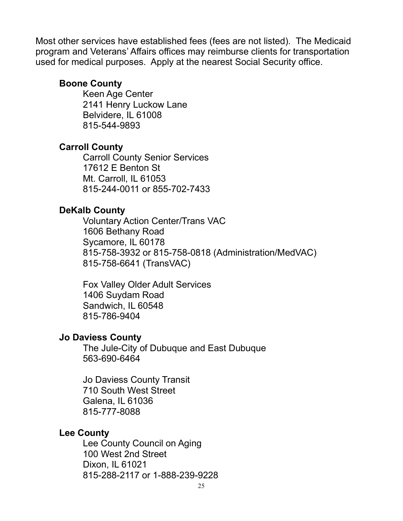Most other services have established fees (fees are not listed). The Medicaid program and Veterans' Affairs offices may reimburse clients for transportation used for medical purposes. Apply at the nearest Social Security office.

#### Boone County

Keen Age Center 2141 Henry Luckow Lane Belvidere, IL 61008 815-544-9893

# Carroll County

Carroll County Senior Services 17612 E Benton St Mt. Carroll, IL 61053 815-244-0011 or 855-702-7433

#### DeKalb County

Voluntary Action Center/Trans VAC 1606 Bethany Road Sycamore, IL 60178 815-758-3932 or 815-758-0818 (Administration/MedVAC) 815-758-6641 (TransVAC)

Fox Valley Older Adult Services 1406 Suydam Road Sandwich, IL 60548 815-786-9404

#### Jo Daviess County

The Jule-City of Dubuque and East Dubuque 563-690-6464

Jo Daviess County Transit 710 South West Street Galena, IL 61036 815-777-8088

#### Lee County

Lee County Council on Aging 100 West 2nd Street Dixon, IL 61021 815-288-2117 or 1-888-239-9228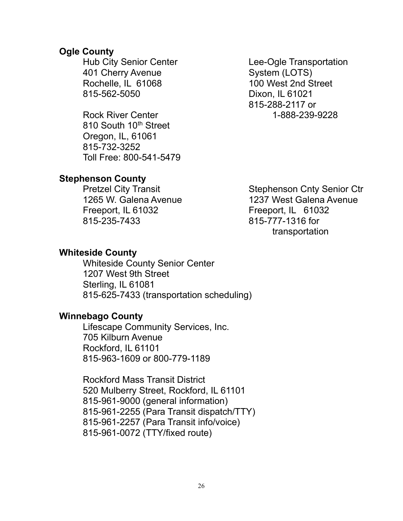#### Ogle County

Hub City Senior Center 401 Cherry Avenue Rochelle, IL 61068 815-562-5050

Rock River Center 1-888-239-9228 810 South 10<sup>th</sup> Street Oregon, IL, 61061 815-732-3252 Toll Free: 800-541-5479

Lee-Ogle Transportation System (LOTS) 100 West 2nd Street Dixon, IL 61021 815-288-2117 or

# Stephenson County

Pretzel City Transit 1265 W. Galena Avenue Freeport, IL 61032 815-235-7433

Stephenson Cnty Senior Ctr 1237 West Galena Avenue Freeport, IL 61032 815-777-1316 for transportation

#### Whiteside County

Whiteside County Senior Center 1207 West 9th Street Sterling, IL 61081 815-625-7433 (transportation scheduling)

#### Winnebago County

Lifescape Community Services, Inc. 705 Kilburn Avenue Rockford, IL 61101 815-963-1609 or 800-779-1189

Rockford Mass Transit District 520 Mulberry Street, Rockford, IL 61101 815-961-9000 (general information) 815-961-2255 (Para Transit dispatch/TTY) 815-961-2257 (Para Transit info/voice) 815-961-0072 (TTY/fixed route)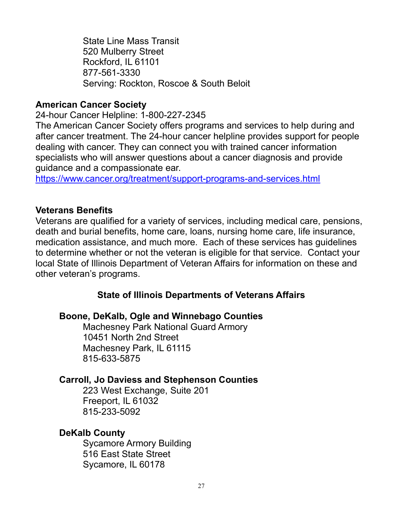State Line Mass Transit 520 Mulberry Street Rockford, IL 61101 877-561-3330 Serving: Rockton, Roscoe & South Beloit

# American Cancer Society

24-hour Cancer Helpline: 1-800-227-2345

The American Cancer Society offers programs and services to help during and after cancer treatment. The 24-hour cancer helpline provides support for people dealing with cancer. They can connect you with trained cancer information specialists who will answer questions about a cancer diagnosis and provide guidance and a compassionate ear.

https://www.cancer.org/treatment/support-programs-and-services.html

# Veterans Benefits

Veterans are qualified for a variety of services, including medical care, pensions, death and burial benefits, home care, loans, nursing home care, life insurance, medication assistance, and much more. Each of these services has guidelines to determine whether or not the veteran is eligible for that service. Contact your local State of Illinois Department of Veteran Affairs for information on these and other veteran's programs.

# State of Illinois Departments of Veterans Affairs

#### Boone, DeKalb, Ogle and Winnebago Counties

Machesney Park National Guard Armory 10451 North 2nd Street Machesney Park, IL 61115 815-633-5875

# Carroll, Jo Daviess and Stephenson Counties

223 West Exchange, Suite 201 Freeport, IL 61032 815-233-5092

# DeKalb County

Sycamore Armory Building 516 East State Street Sycamore, IL 60178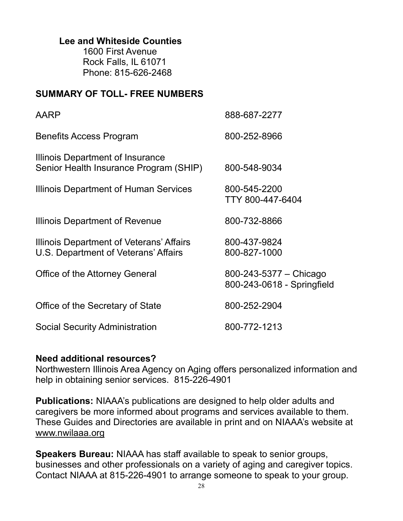# Lee and Whiteside Counties

1600 First Avenue Rock Falls, IL 61071 Phone: 815-626-2468

# SUMMARY OF TOLL- FREE NUMBERS

| AARP                                                                              | 888-687-2277                                         |
|-----------------------------------------------------------------------------------|------------------------------------------------------|
| Benefits Access Program                                                           | 800-252-8966                                         |
| <b>Illinois Department of Insurance</b><br>Senior Health Insurance Program (SHIP) | 800-548-9034                                         |
| Illinois Department of Human Services                                             | 800-545-2200<br>TTY 800-447-6404                     |
| Illinois Department of Revenue                                                    | 800-732-8866                                         |
| Illinois Department of Veterans' Affairs<br>U.S. Department of Veterans' Affairs  | 800-437-9824<br>800-827-1000                         |
| Office of the Attorney General                                                    | 800-243-5377 - Chicago<br>800-243-0618 - Springfield |
| Office of the Secretary of State                                                  | 800-252-2904                                         |
| <b>Social Security Administration</b>                                             | 800-772-1213                                         |

#### Need additional resources?

Northwestern Illinois Area Agency on Aging offers personalized information and help in obtaining senior services. 815-226-4901

Publications: NIAAA's publications are designed to help older adults and caregivers be more informed about programs and services available to them. These Guides and Directories are available in print and on NIAAA's website at www.nwilaaa.org

Speakers Bureau: NIAAA has staff available to speak to senior groups, businesses and other professionals on a variety of aging and caregiver topics. Contact NIAAA at 815-226-4901 to arrange someone to speak to your group.